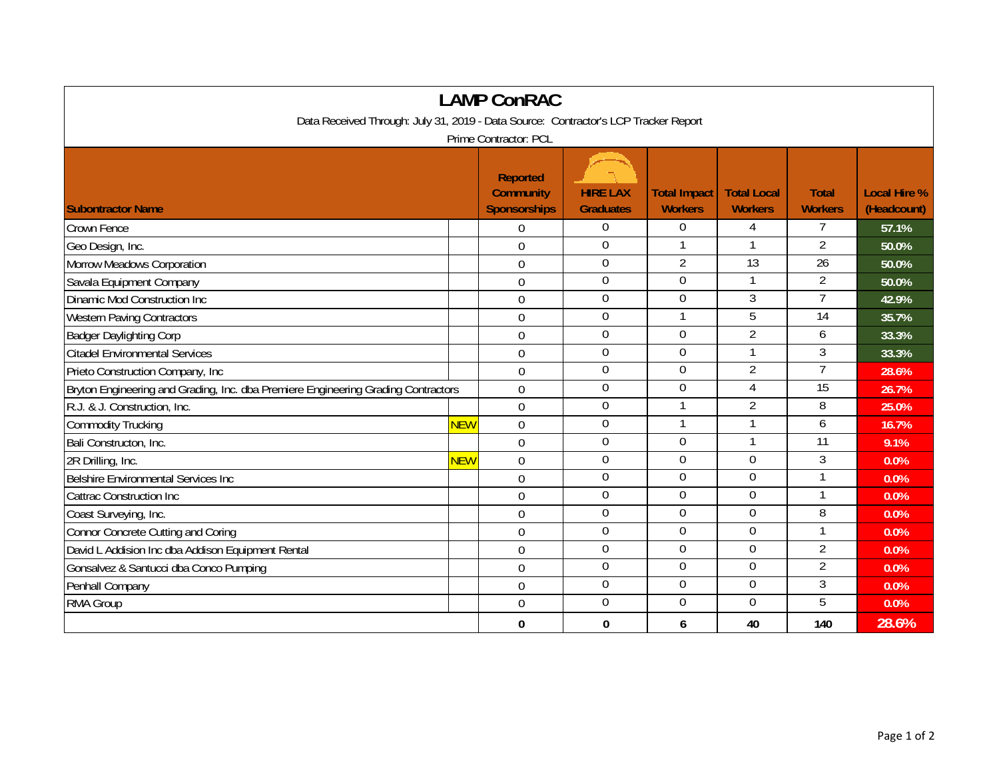| <b>LAMP ConRAC</b>                                                                  |                  |                                                            |                                     |                                       |                                      |                                |                                    |  |  |  |  |  |
|-------------------------------------------------------------------------------------|------------------|------------------------------------------------------------|-------------------------------------|---------------------------------------|--------------------------------------|--------------------------------|------------------------------------|--|--|--|--|--|
| Data Received Through: July 31, 2019 - Data Source: Contractor's LCP Tracker Report |                  |                                                            |                                     |                                       |                                      |                                |                                    |  |  |  |  |  |
| Prime Contractor: PCL                                                               |                  |                                                            |                                     |                                       |                                      |                                |                                    |  |  |  |  |  |
| <b>Subontractor Name</b>                                                            |                  | <b>Reported</b><br><b>Community</b><br><b>Sponsorships</b> | <b>HIRE LAX</b><br><b>Graduates</b> | <b>Total Impact</b><br><b>Workers</b> | <b>Total Local</b><br><b>Workers</b> | <b>Total</b><br><b>Workers</b> | <b>Local Hire %</b><br>(Headcount) |  |  |  |  |  |
| <b>Crown Fence</b>                                                                  |                  | 0                                                          | $\bf{0}$                            | 0                                     | 4                                    |                                | 57.1%                              |  |  |  |  |  |
| Geo Design, Inc.                                                                    |                  | $\overline{0}$                                             | $\Omega$                            | $\mathbf{1}$                          |                                      | $\overline{2}$                 | 50.0%                              |  |  |  |  |  |
| Morrow Meadows Corporation                                                          |                  | $\mathbf 0$                                                | $\boldsymbol{0}$                    | $\overline{2}$                        | $\overline{13}$                      | $\overline{26}$                | 50.0%                              |  |  |  |  |  |
| Savala Equipment Company                                                            |                  | $\overline{0}$                                             | $\mathbf 0$                         | $\overline{0}$                        | $\mathbf{1}$                         | $\overline{2}$                 | 50.0%                              |  |  |  |  |  |
| Dinamic Mod Construction Inc                                                        |                  | $\mathbf 0$                                                | $\boldsymbol{0}$                    | 0                                     | 3                                    | 7                              | 42.9%                              |  |  |  |  |  |
| <b>Western Paving Contractors</b>                                                   |                  | $\overline{0}$                                             | $\boldsymbol{0}$                    | 1                                     | $\overline{5}$                       | $\overline{14}$                | 35.7%                              |  |  |  |  |  |
| <b>Badger Daylighting Corp</b>                                                      |                  | $\mathbf 0$                                                | $\boldsymbol{0}$                    | $\boldsymbol{0}$                      | $\overline{2}$                       | 6                              | 33.3%                              |  |  |  |  |  |
| <b>Citadel Environmental Services</b>                                               |                  | $\boldsymbol{0}$                                           | $\boldsymbol{0}$                    | $\mathbf 0$                           | $\mathbf{1}$                         | 3                              | 33.3%                              |  |  |  |  |  |
| Prieto Construction Company, Inc.                                                   |                  | 0                                                          | $\overline{0}$                      | $\Omega$                              | $\overline{2}$                       | $\overline{7}$                 | 28.6%                              |  |  |  |  |  |
| Bryton Engineering and Grading, Inc. dba Premiere Engineering Grading Contractors   |                  | $\mathbf 0$                                                | $\boldsymbol{0}$                    | $\theta$                              | 4                                    | $\overline{15}$                | 26.7%                              |  |  |  |  |  |
| R.J. & J. Construction, Inc.                                                        |                  | $\overline{0}$                                             | $\mathbf 0$                         |                                       | $\overline{2}$                       | $\overline{8}$                 | 25.0%                              |  |  |  |  |  |
| <b>Commodity Trucking</b>                                                           | <mark>NEW</mark> | $\mathbf 0$                                                | $\boldsymbol{0}$                    | $\mathbf{1}$                          |                                      | 6                              | 16.7%                              |  |  |  |  |  |
| Bali Constructon, Inc.                                                              |                  | $\Omega$                                                   | $\boldsymbol{0}$                    | $\mathbf 0$                           | $\mathbf{1}$                         | $\overline{11}$                | 9.1%                               |  |  |  |  |  |
| 2R Drilling, Inc.                                                                   | NEW              | $\overline{0}$                                             | $\boldsymbol{0}$                    | 0                                     | $\overline{0}$                       | 3                              | 0.0%                               |  |  |  |  |  |
| Belshire Environmental Services Inc                                                 |                  | $\theta$                                                   | $\boldsymbol{0}$                    | $\Omega$                              | 0                                    |                                | 0.0%                               |  |  |  |  |  |
| <b>Cattrac Construction Inc</b>                                                     |                  | 0                                                          | $\Omega$                            | 0                                     | $\overline{0}$                       | $\mathbf{1}$                   | 0.0%                               |  |  |  |  |  |
| Coast Surveying, Inc.                                                               |                  | 0                                                          | $\boldsymbol{0}$                    | $\Omega$                              | $\overline{0}$                       | 8                              | 0.0%                               |  |  |  |  |  |
| Connor Concrete Cutting and Coring                                                  |                  | 0                                                          | $\boldsymbol{0}$                    | $\overline{0}$                        | $\overline{0}$                       | $\mathbf{1}$                   | 0.0%                               |  |  |  |  |  |
| David L Addision Inc dba Addison Equipment Rental                                   |                  | $\mathbf 0$                                                | $\boldsymbol{0}$                    | 0                                     | $\mathbf 0$                          | $\overline{2}$                 | 0.0%                               |  |  |  |  |  |
| Gonsalvez & Santucci dba Conco Pumping                                              |                  | $\mathbf 0$                                                | $\mathbf 0$                         | $\mathbf 0$                           | $\mathbf 0$                          | $\overline{2}$                 | 0.0%                               |  |  |  |  |  |
| Penhall Company                                                                     |                  | $\mathbf 0$                                                | $\overline{0}$                      | $\mathbf 0$                           | $\mathbf 0$                          | 3                              | 0.0%                               |  |  |  |  |  |
| RMA Group                                                                           |                  | $\mathbf 0$                                                | $\boldsymbol{0}$                    | $\boldsymbol{0}$                      | $\overline{0}$                       | 5                              | 0.0%                               |  |  |  |  |  |
|                                                                                     |                  | 0                                                          | 0                                   | 6                                     | 40                                   | 140                            | 28.6%                              |  |  |  |  |  |